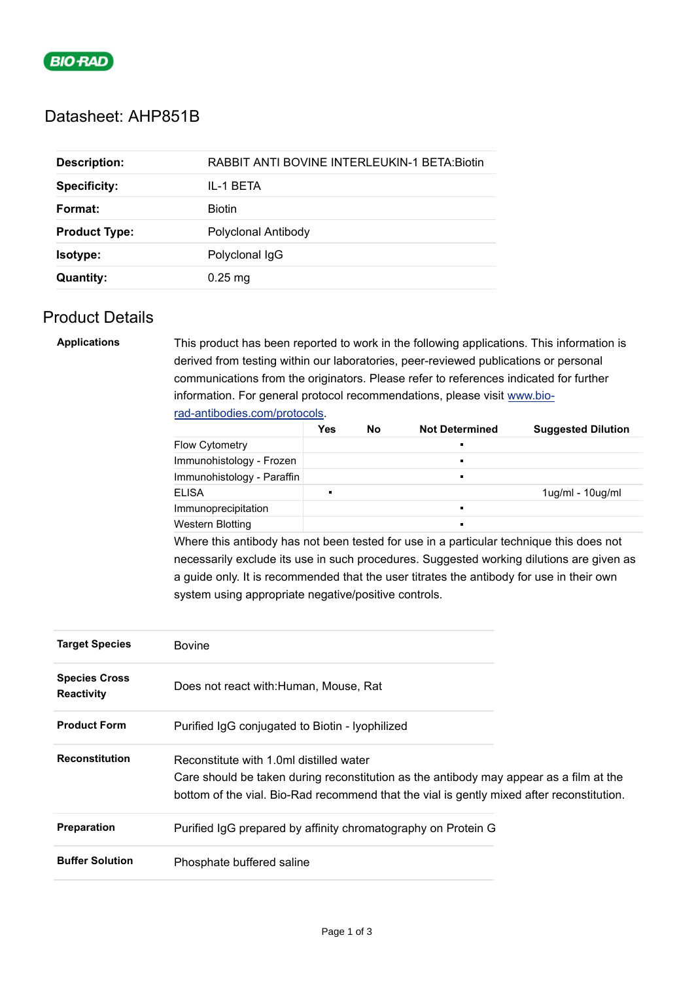

## Datasheet: AHP851B

| <b>Description:</b>  | <b>RABBIT ANTI BOVINE INTERLEUKIN-1 BETA: Biotin</b> |  |  |
|----------------------|------------------------------------------------------|--|--|
| <b>Specificity:</b>  | IL-1 BETA                                            |  |  |
| Format:              | <b>Biotin</b>                                        |  |  |
| <b>Product Type:</b> | Polyclonal Antibody                                  |  |  |
| Isotype:             | Polyclonal IgG                                       |  |  |
| <b>Quantity:</b>     | $0.25$ mg                                            |  |  |

## Product Details

| <b>Applications</b> | This product has been reported to work in the following applications. This information is |  |  |
|---------------------|-------------------------------------------------------------------------------------------|--|--|
|                     | derived from testing within our laboratories, peer-reviewed publications or personal      |  |  |
|                     | communications from the originators. Please refer to references indicated for further     |  |  |
|                     | information. For general protocol recommendations, please visit www.bio-                  |  |  |
|                     | rad-antibodies.com/protocols.                                                             |  |  |

|                            | Yes | No | <b>Not Determined</b> | <b>Suggested Dilution</b> |
|----------------------------|-----|----|-----------------------|---------------------------|
| <b>Flow Cytometry</b>      |     |    |                       |                           |
| Immunohistology - Frozen   |     |    |                       |                           |
| Immunohistology - Paraffin |     |    |                       |                           |
| <b>ELISA</b>               |     |    |                       | $1$ ug/ml - $10$ ug/ml    |
| Immunoprecipitation        |     |    |                       |                           |
| Western Blotting           |     |    |                       |                           |

Where this antibody has not been tested for use in a particular technique this does not necessarily exclude its use in such procedures. Suggested working dilutions are given as a guide only. It is recommended that the user titrates the antibody for use in their own system using appropriate negative/positive controls.

| <b>Target Species</b>                     | <b>Bovine</b>                                                                                                                                                                                                                  |  |
|-------------------------------------------|--------------------------------------------------------------------------------------------------------------------------------------------------------------------------------------------------------------------------------|--|
| <b>Species Cross</b><br><b>Reactivity</b> | Does not react with:Human, Mouse, Rat                                                                                                                                                                                          |  |
| <b>Product Form</b>                       | Purified IgG conjugated to Biotin - Iyophilized                                                                                                                                                                                |  |
| <b>Reconstitution</b>                     | Reconstitute with 1.0ml distilled water<br>Care should be taken during reconstitution as the antibody may appear as a film at the<br>bottom of the vial. Bio-Rad recommend that the vial is gently mixed after reconstitution. |  |
| <b>Preparation</b>                        | Purified IgG prepared by affinity chromatography on Protein G                                                                                                                                                                  |  |
| <b>Buffer Solution</b>                    | Phosphate buffered saline                                                                                                                                                                                                      |  |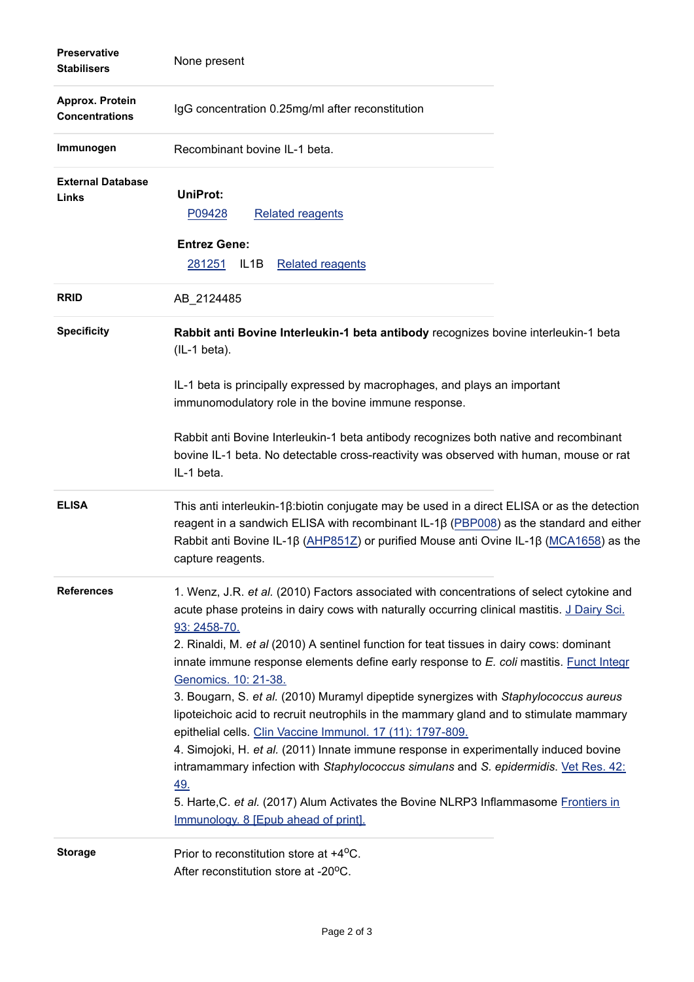| <b>Preservative</b><br><b>Stabilisers</b> | None present                                                                                                                                                                                                                                                                                                                                                                                                                                                                                                                                                                                                                                                                                                                                                                                                                                                                                                                                                                                           |
|-------------------------------------------|--------------------------------------------------------------------------------------------------------------------------------------------------------------------------------------------------------------------------------------------------------------------------------------------------------------------------------------------------------------------------------------------------------------------------------------------------------------------------------------------------------------------------------------------------------------------------------------------------------------------------------------------------------------------------------------------------------------------------------------------------------------------------------------------------------------------------------------------------------------------------------------------------------------------------------------------------------------------------------------------------------|
| Approx. Protein<br><b>Concentrations</b>  | IgG concentration 0.25mg/ml after reconstitution                                                                                                                                                                                                                                                                                                                                                                                                                                                                                                                                                                                                                                                                                                                                                                                                                                                                                                                                                       |
| Immunogen                                 | Recombinant bovine IL-1 beta.                                                                                                                                                                                                                                                                                                                                                                                                                                                                                                                                                                                                                                                                                                                                                                                                                                                                                                                                                                          |
| <b>External Database</b><br>Links         | <b>UniProt:</b><br>P09428<br><b>Related reagents</b>                                                                                                                                                                                                                                                                                                                                                                                                                                                                                                                                                                                                                                                                                                                                                                                                                                                                                                                                                   |
|                                           | <b>Entrez Gene:</b><br><b>Related reagents</b><br>281251<br>IL <sub>1</sub> B                                                                                                                                                                                                                                                                                                                                                                                                                                                                                                                                                                                                                                                                                                                                                                                                                                                                                                                          |
| <b>RRID</b>                               | AB_2124485                                                                                                                                                                                                                                                                                                                                                                                                                                                                                                                                                                                                                                                                                                                                                                                                                                                                                                                                                                                             |
| <b>Specificity</b>                        | Rabbit anti Bovine Interleukin-1 beta antibody recognizes bovine interleukin-1 beta<br>$(IL-1 beta).$                                                                                                                                                                                                                                                                                                                                                                                                                                                                                                                                                                                                                                                                                                                                                                                                                                                                                                  |
|                                           | IL-1 beta is principally expressed by macrophages, and plays an important<br>immunomodulatory role in the bovine immune response.                                                                                                                                                                                                                                                                                                                                                                                                                                                                                                                                                                                                                                                                                                                                                                                                                                                                      |
|                                           | Rabbit anti Bovine Interleukin-1 beta antibody recognizes both native and recombinant<br>bovine IL-1 beta. No detectable cross-reactivity was observed with human, mouse or rat<br>IL-1 beta.                                                                                                                                                                                                                                                                                                                                                                                                                                                                                                                                                                                                                                                                                                                                                                                                          |
| <b>ELISA</b>                              | This anti interleukin-1 $\beta$ : biotin conjugate may be used in a direct ELISA or as the detection<br>reagent in a sandwich ELISA with recombinant IL-1β (PBP008) as the standard and either<br>Rabbit anti Bovine IL-1 $\beta$ (AHP851Z) or purified Mouse anti Ovine IL-1 $\beta$ (MCA1658) as the<br>capture reagents.                                                                                                                                                                                                                                                                                                                                                                                                                                                                                                                                                                                                                                                                            |
| <b>References</b>                         | 1. Wenz, J.R. et al. (2010) Factors associated with concentrations of select cytokine and<br>acute phase proteins in dairy cows with naturally occurring clinical mastitis. J Dairy Sci.<br>93: 2458-70.<br>2. Rinaldi, M. et al (2010) A sentinel function for teat tissues in dairy cows: dominant<br>innate immune response elements define early response to E. coli mastitis. Funct Integr<br>Genomics. 10: 21-38.<br>3. Bougarn, S. et al. (2010) Muramyl dipeptide synergizes with Staphylococcus aureus<br>lipoteichoic acid to recruit neutrophils in the mammary gland and to stimulate mammary<br>epithelial cells. Clin Vaccine Immunol. 17 (11): 1797-809.<br>4. Simojoki, H. et al. (2011) Innate immune response in experimentally induced bovine<br>intramammary infection with Staphylococcus simulans and S. epidermidis. Vet Res. 42:<br><u>49.</u><br>5. Harte, C. et al. (2017) Alum Activates the Bovine NLRP3 Inflammasome Frontiers in<br>Immunology. 8 [Epub ahead of print]. |
| <b>Storage</b>                            | Prior to reconstitution store at +4 <sup>o</sup> C.<br>After reconstitution store at -20°C.                                                                                                                                                                                                                                                                                                                                                                                                                                                                                                                                                                                                                                                                                                                                                                                                                                                                                                            |